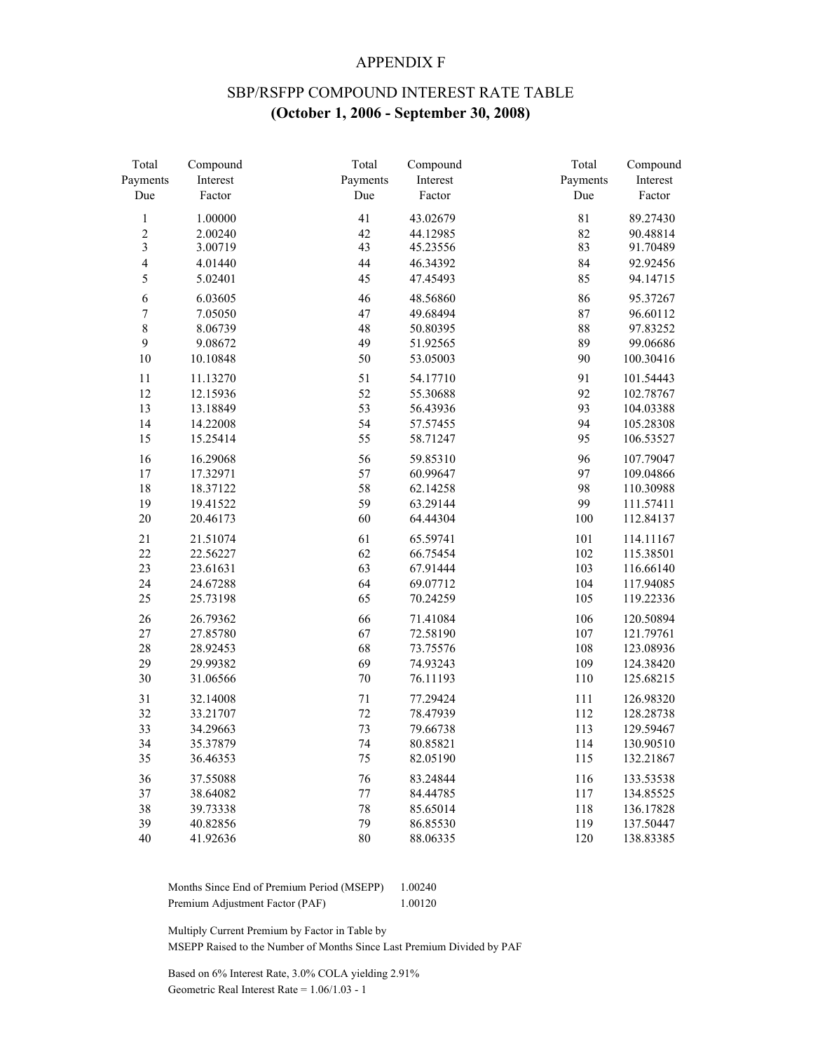### APPENDIX F

## SBP/RSFPP COMPOUND INTEREST RATE TABLE **(October 1, 2006 - September 30, 2008)**

| Total                   | Compound | Total    | Compound | Total       | Compound  |
|-------------------------|----------|----------|----------|-------------|-----------|
| Payments                | Interest | Payments | Interest | Payments    | Interest  |
| Due                     | Factor   | Due      | Factor   | Due         | Factor    |
| $\,1$                   | 1.00000  | 41       | 43.02679 | $8\sqrt{1}$ | 89.27430  |
| $\overline{c}$          | 2.00240  | 42       | 44.12985 | 82          | 90.48814  |
| $\overline{\mathbf{3}}$ | 3.00719  | 43       | 45.23556 | 83          | 91.70489  |
| $\overline{4}$          | 4.01440  | 44       | 46.34392 | 84          | 92.92456  |
| 5                       | 5.02401  | 45       | 47.45493 | 85          | 94.14715  |
| 6                       | 6.03605  | 46       | 48.56860 | 86          | 95.37267  |
| $\overline{7}$          | 7.05050  | 47       | 49.68494 | 87          | 96.60112  |
| $\,8\,$                 | 8.06739  | 48       | 50.80395 | 88          | 97.83252  |
| $\mathbf{9}$            | 9.08672  | 49       | 51.92565 | 89          | 99.06686  |
| 10                      | 10.10848 | 50       | 53.05003 | 90          | 100.30416 |
| $11\,$                  | 11.13270 | 51       | 54.17710 | 91          | 101.54443 |
| 12                      | 12.15936 | 52       | 55.30688 | 92          | 102.78767 |
| 13                      | 13.18849 | 53       | 56.43936 | 93          | 104.03388 |
| 14                      | 14.22008 | 54       | 57.57455 | 94          | 105.28308 |
| 15                      | 15.25414 | 55       | 58.71247 | 95          | 106.53527 |
| 16                      | 16.29068 | 56       | 59.85310 | 96          | 107.79047 |
| 17                      | 17.32971 | 57       | 60.99647 | 97          | 109.04866 |
| 18                      | 18.37122 | 58       | 62.14258 | 98          | 110.30988 |
| 19                      | 19.41522 | 59       | 63.29144 | 99          | 111.57411 |
| 20                      | 20.46173 | 60       | 64.44304 | 100         | 112.84137 |
| 21                      | 21.51074 | 61       | 65.59741 | 101         | 114.11167 |
| 22                      | 22.56227 | 62       | 66.75454 | 102         | 115.38501 |
| 23                      | 23.61631 | 63       | 67.91444 | 103         | 116.66140 |
| 24                      | 24.67288 | 64       | 69.07712 | 104         | 117.94085 |
| 25                      | 25.73198 | 65       | 70.24259 | 105         | 119.22336 |
| 26                      | 26.79362 | 66       | 71.41084 | 106         | 120.50894 |
| 27                      | 27.85780 | 67       | 72.58190 | 107         | 121.79761 |
| 28                      | 28.92453 | 68       | 73.75576 | 108         | 123.08936 |
| 29                      | 29.99382 | 69       | 74.93243 | 109         | 124.38420 |
| 30                      | 31.06566 | $70\,$   | 76.11193 | 110         | 125.68215 |
| 31                      | 32.14008 | $71\,$   | 77.29424 | 111         | 126.98320 |
| 32                      | 33.21707 | 72       | 78.47939 | 112         | 128.28738 |
| 33                      | 34.29663 | 73       | 79.66738 | 113         | 129.59467 |
| 34                      | 35.37879 | 74       | 80.85821 | 114         | 130.90510 |
| 35                      | 36.46353 | 75       | 82.05190 | 115         | 132.21867 |
| 36                      | 37.55088 | 76       | 83.24844 | 116         | 133.53538 |
| 37                      | 38.64082 | $77\,$   | 84.44785 | 117         | 134.85525 |
| 38                      | 39.73338 | 78       | 85.65014 | 118         | 136.17828 |
| 39                      | 40.82856 | 79       | 86.85530 | 119         | 137.50447 |
| 40                      | 41.92636 | 80       | 88.06335 | 120         | 138.83385 |

 Months Since End of Premium Period (MSEPP) 1.00240 Premium Adjustment Factor (PAF) 1.00120

Multiply Current Premium by Factor in Table by

MSEPP Raised to the Number of Months Since Last Premium Divided by PAF

 Based on 6% Interest Rate, 3.0% COLA yielding 2.91% Geometric Real Interest Rate = 1.06/1.03 - 1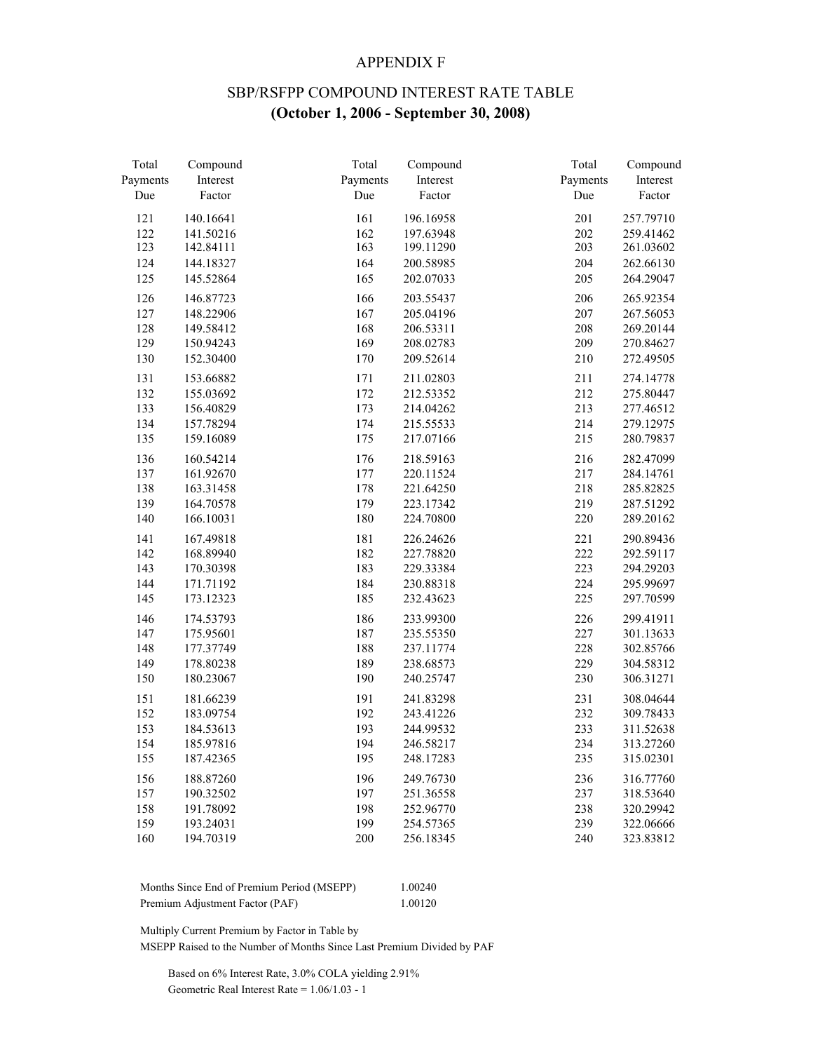### APPENDIX F

## SBP/RSFPP COMPOUND INTEREST RATE TABLE **(October 1, 2006 - September 30, 2008)**

| Total    | Compound  | Total    | Compound  | Total    | Compound  |
|----------|-----------|----------|-----------|----------|-----------|
| Payments | Interest  | Payments | Interest  | Payments | Interest  |
| Due      | Factor    | Due      | Factor    | Due      | Factor    |
| 121      | 140.16641 | 161      | 196.16958 | 201      | 257.79710 |
| 122      | 141.50216 | 162      | 197.63948 | 202      | 259.41462 |
| 123      | 142.84111 | 163      | 199.11290 | 203      | 261.03602 |
| 124      | 144.18327 | 164      | 200.58985 | 204      | 262.66130 |
| 125      | 145.52864 | 165      | 202.07033 | 205      | 264.29047 |
| 126      | 146.87723 | 166      | 203.55437 | 206      | 265.92354 |
| 127      | 148.22906 | 167      | 205.04196 | 207      | 267.56053 |
| 128      | 149.58412 | 168      | 206.53311 | 208      | 269.20144 |
| 129      | 150.94243 | 169      | 208.02783 | 209      | 270.84627 |
| 130      | 152.30400 | 170      | 209.52614 | 210      | 272.49505 |
| 131      | 153.66882 | 171      | 211.02803 | 211      | 274.14778 |
| 132      | 155.03692 | 172      | 212.53352 | 212      | 275.80447 |
| 133      | 156.40829 | 173      | 214.04262 | 213      | 277.46512 |
| 134      | 157.78294 | 174      | 215.55533 | 214      | 279.12975 |
| 135      | 159.16089 | 175      | 217.07166 | 215      | 280.79837 |
| 136      | 160.54214 | 176      | 218.59163 | 216      | 282.47099 |
| 137      | 161.92670 | 177      | 220.11524 | 217      | 284.14761 |
| 138      | 163.31458 | 178      | 221.64250 | 218      | 285.82825 |
| 139      | 164.70578 | 179      | 223.17342 | 219      | 287.51292 |
| 140      | 166.10031 | 180      | 224.70800 | 220      | 289.20162 |
| 141      | 167.49818 | 181      | 226.24626 | 221      | 290.89436 |
| 142      | 168.89940 | 182      | 227.78820 | 222      | 292.59117 |
| 143      | 170.30398 | 183      | 229.33384 | 223      | 294.29203 |
| 144      | 171.71192 | 184      | 230.88318 | 224      | 295.99697 |
| 145      | 173.12323 | 185      | 232.43623 | 225      | 297.70599 |
| 146      | 174.53793 | 186      | 233.99300 | 226      | 299.41911 |
| 147      | 175.95601 | 187      | 235.55350 | 227      | 301.13633 |
| 148      | 177.37749 | 188      | 237.11774 | 228      | 302.85766 |
| 149      | 178.80238 | 189      | 238.68573 | 229      | 304.58312 |
| 150      | 180.23067 | 190      | 240.25747 | 230      | 306.31271 |
| 151      | 181.66239 | 191      | 241.83298 | 231      | 308.04644 |
| 152      | 183.09754 | 192      | 243.41226 | 232      | 309.78433 |
| 153      | 184.53613 | 193      | 244.99532 | 233      | 311.52638 |
| 154      | 185.97816 | 194      | 246.58217 | 234      | 313.27260 |
| 155      | 187.42365 | 195      | 248.17283 | 235      | 315.02301 |
| 156      | 188.87260 | 196      | 249.76730 | 236      | 316.77760 |
| 157      | 190.32502 | 197      | 251.36558 | 237      | 318.53640 |
| 158      | 191.78092 | 198      | 252.96770 | 238      | 320.29942 |
| 159      | 193.24031 | 199      | 254.57365 | 239      | 322.06666 |
| 160      | 194.70319 | 200      | 256.18345 | 240      | 323.83812 |

| Months Since End of Premium Period (MSEPP) | 1.00240 |
|--------------------------------------------|---------|
| Premium Adjustment Factor (PAF)            | 1.00120 |

Multiply Current Premium by Factor in Table by

MSEPP Raised to the Number of Months Since Last Premium Divided by PAF

 Based on 6% Interest Rate, 3.0% COLA yielding 2.91% Geometric Real Interest Rate = 1.06/1.03 - 1